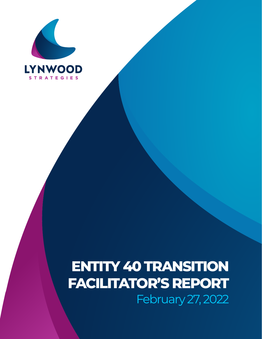

## **ENTITY 40 TRANSITION FACILITATOR'S REPORT** February 27, 2022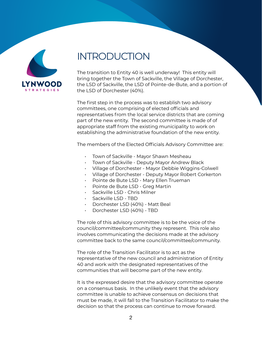

## INTRODUCTION

The transition to Entity 40 is well underway! This entity will bring together the Town of Sackville, the Village of Dorchester, the LSD of Sackville, the LSD of Pointe-de-Bute, and a portion of the LSD of Dorchester (40%).

The first step in the process was to establish two advisory committees, one comprising of elected officials and representatives from the local service districts that are coming part of the new entity. The second committee is made of of appropriate staff from the existing municipality to work on establishing the administrative foundation of the new entity.

The members of the Elected Officials Advisory Committee are:

- Town of Sackville Mayor Shawn Mesheau
- Town of Sackville Deputy Mayor Andrew Black
- Village of Dorchester Mayor Debbie Wiggins-Colwell
- Village of Dorchester Deputy Mayor Robert Corkerton
- Pointe de Bute LSD Mary Ellen Trueman
- Pointe de Bute LSD Greg Martin
- Sackville LSD Chris Milner
- Sackville LSD TBD
- Dorchester LSD (40%) Matt Beal
- Dorchester LSD (40%) TBD

The role of this advisory committee is to be the voice of the council/committee/community they represent. This role also involves communicating the decisions made at the advisory committee back to the same council/committee/community.

The role of the Transition Facilitator is to act as the representative of the new council and administration of Entity 40 and work with the designated representatives of the communities that will become part of the new entity.

It is the expressed desire that the advisory committee operate on a consensus basis. In the unlikely event that the advisory committee is unable to achieve consensus on decisions that must be made, it will fall to the Transition Facilitator to make the decision so that the process can continue to move forward.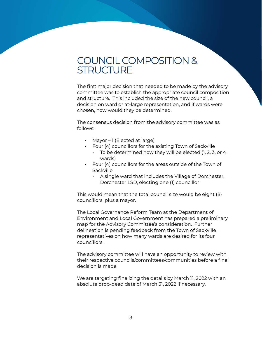## COUNCIL COMPOSITION & **STRUCTURE**

The first major decision that needed to be made by the advisory committee was to establish the appropriate council composition and structure. This included the size of the new council, a decision on ward or at-large representation, and if wards were chosen, how would they be determined.

The consensus decision from the advisory committee was as follows:

- Mayor 1 (Elected at large)
- Four (4) councillors for the existing Town of Sackville
	- $\cdot$  To be determined how they will be elected (1, 2, 3, or 4 wards)
- Four (4) councillors for the areas outside of the Town of Sackville
	- A single ward that includes the Village of Dorchester, Dorchester LSD, electing one (1) councillor

This would mean that the total council size would be eight (8) councillors, plus a mayor.

The Local Governance Reform Team at the Department of Environment and Local Government has prepared a preliminary map for the Advisory Committee's consideration. Further delineation is pending feedback from the Town of Sackville representatives on how many wards are desired for its four councillors.

The advisory committee will have an opportunity to review with their respective councils/committees/communities before a final decision is made.

We are targeting finalizing the details by March 11, 2022 with an absolute drop-dead date of March 31, 2022 if necessary.